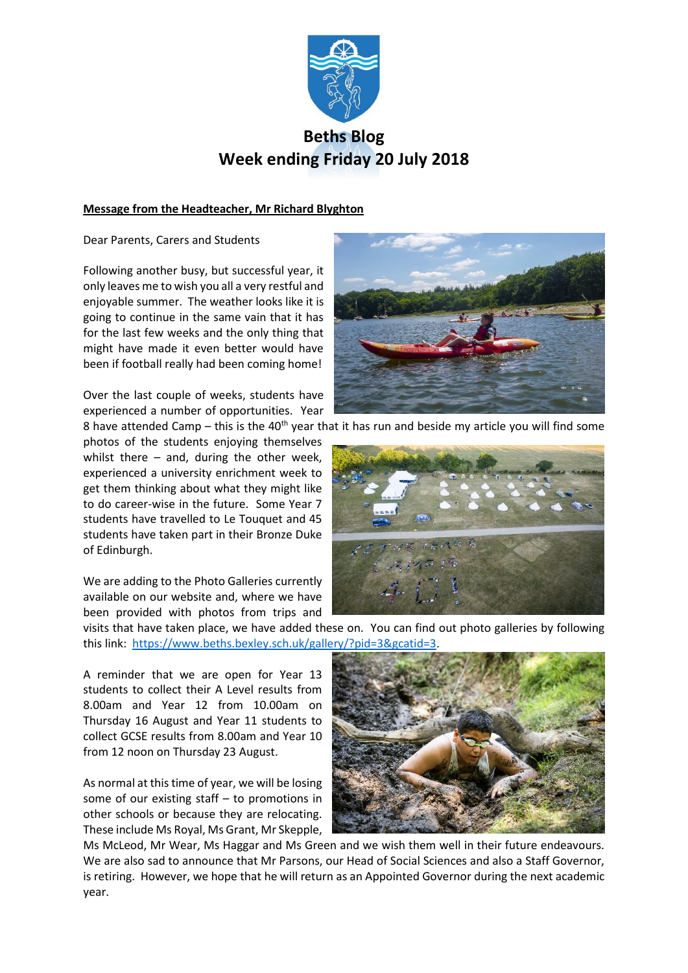

# **Beths Blog Week ending Friday 20 July 2018**

# **Message from the Headteacher, Mr Richard Blyghton**

Dear Parents, Carers and Students

Following another busy, but successful year, it only leaves me to wish you all a very restful and enjoyable summer. The weather looks like it is going to continue in the same vain that it has for the last few weeks and the only thing that might have made it even better would have been if football really had been coming home!

Over the last couple of weeks, students have experienced a number of opportunities. Year

8 have attended Camp – this is the  $40^{th}$  year that it has run and beside my article you will find some photos of the students enjoying themselves whilst there  $-$  and, during the other week, experienced a university enrichment week to get them thinking about what they might like to do career-wise in the future. Some Year 7 students have travelled to Le Touquet and 45 students have taken part in their Bronze Duke of Edinburgh.

We are adding to the Photo Galleries currently available on our website and, where we have been provided with photos from trips and

visits that have taken place, we have added these on. You can find out photo galleries by following this link: [https://www.beths.bexley.sch.uk/gallery/?pid=3&gcatid=3.](https://www.beths.bexley.sch.uk/gallery/?pid=3&gcatid=3)

A reminder that we are open for Year 13 students to collect their A Level results from 8.00am and Year 12 from 10.00am on Thursday 16 August and Year 11 students to collect GCSE results from 8.00am and Year 10 from 12 noon on Thursday 23 August.

As normal at this time of year, we will be losing some of our existing staff – to promotions in other schools or because they are relocating. These include Ms Royal, Ms Grant, Mr Skepple,



Ms McLeod, Mr Wear, Ms Haggar and Ms Green and we wish them well in their future endeavours. We are also sad to announce that Mr Parsons, our Head of Social Sciences and also a Staff Governor, is retiring. However, we hope that he will return as an Appointed Governor during the next academic year.



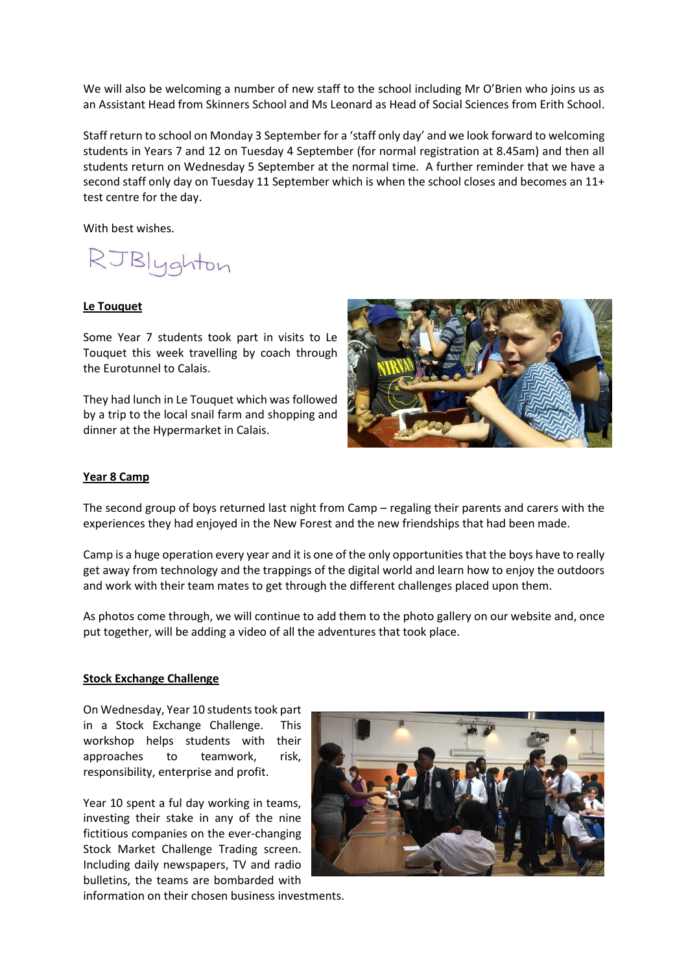We will also be welcoming a number of new staff to the school including Mr O'Brien who joins us as an Assistant Head from Skinners School and Ms Leonard as Head of Social Sciences from Erith School.

Staff return to school on Monday 3 September for a 'staff only day' and we look forward to welcoming students in Years 7 and 12 on Tuesday 4 September (for normal registration at 8.45am) and then all students return on Wednesday 5 September at the normal time. A further reminder that we have a second staff only day on Tuesday 11 September which is when the school closes and becomes an 11+ test centre for the day.

With best wishes.

RJBlyghton

## **Le Touquet**

Some Year 7 students took part in visits to Le Touquet this week travelling by coach through the Eurotunnel to Calais.

They had lunch in Le Touquet which was followed by a trip to the local snail farm and shopping and dinner at the Hypermarket in Calais.



#### **Year 8 Camp**

The second group of boys returned last night from Camp – regaling their parents and carers with the experiences they had enjoyed in the New Forest and the new friendships that had been made.

Camp is a huge operation every year and it is one of the only opportunities that the boys have to really get away from technology and the trappings of the digital world and learn how to enjoy the outdoors and work with their team mates to get through the different challenges placed upon them.

As photos come through, we will continue to add them to the photo gallery on our website and, once put together, will be adding a video of all the adventures that took place.

#### **Stock Exchange Challenge**

On Wednesday, Year 10 students took part in a Stock Exchange Challenge. This workshop helps students with their approaches to teamwork, risk, responsibility, enterprise and profit.

Year 10 spent a ful day working in teams, investing their stake in any of the nine fictitious companies on the ever-changing Stock Market Challenge Trading screen. Including daily newspapers, TV and radio bulletins, the teams are bombarded with



information on their chosen business investments.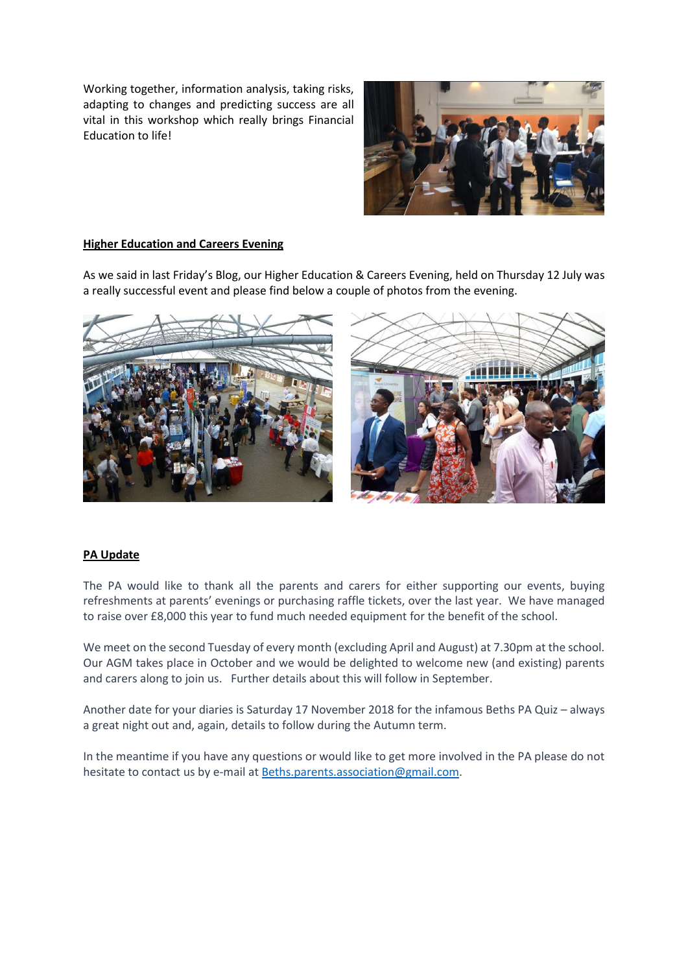Working together, information analysis, taking risks, adapting to changes and predicting success are all vital in this workshop which really brings Financial Education to life!



## **Higher Education and Careers Evening**

As we said in last Friday's Blog, our Higher Education & Careers Evening, held on Thursday 12 July was a really successful event and please find below a couple of photos from the evening.



## **PA Update**

The PA would like to thank all the parents and carers for either supporting our events, buying refreshments at parents' evenings or purchasing raffle tickets, over the last year. We have managed to raise over £8,000 this year to fund much needed equipment for the benefit of the school.

We meet on the second Tuesday of every month (excluding April and August) at 7.30pm at the school. Our AGM takes place in October and we would be delighted to welcome new (and existing) parents and carers along to join us. Further details about this will follow in September.

Another date for your diaries is Saturday 17 November 2018 for the infamous Beths PA Quiz – always a great night out and, again, details to follow during the Autumn term.

In the meantime if you have any questions or would like to get more involved in the PA please do not hesitate to contact us by e-mail a[t Beths.parents.association@gmail.com.](mailto:Beths.parents.association@gmail.com)